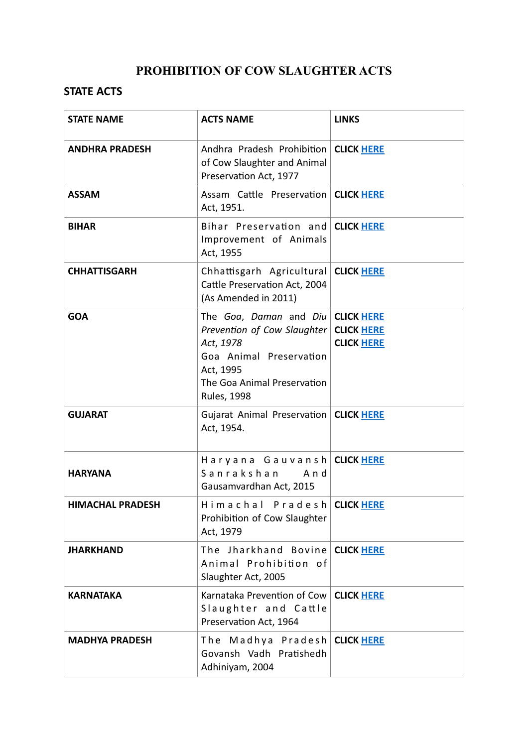## **PROHIBITION OF COW SLAUGHTER ACTS**

## **STATE ACTS**

| <b>STATE NAME</b>       | <b>ACTS NAME</b>                                                                                                                                                           | <b>LINKS</b>                           |
|-------------------------|----------------------------------------------------------------------------------------------------------------------------------------------------------------------------|----------------------------------------|
| <b>ANDHRA PRADESH</b>   | Andhra Pradesh Prohibition   CLICK HERE<br>of Cow Slaughter and Animal<br>Preservation Act, 1977                                                                           |                                        |
| <b>ASSAM</b>            | Assam Cattle Preservation   CLICK HERE<br>Act, 1951.                                                                                                                       |                                        |
| <b>BIHAR</b>            | Bihar Preservation and CLICK HERE<br>Improvement of Animals<br>Act, 1955                                                                                                   |                                        |
| <b>CHHATTISGARH</b>     | Chhattisgarh Agricultural CLICK HERE<br>Cattle Preservation Act, 2004<br>(As Amended in 2011)                                                                              |                                        |
| <b>GOA</b>              | The Goa, Daman and Diu CLICK HERE<br>Prevention of Cow Slaughter<br>Act, 1978<br>Goa Animal Preservation<br>Act, 1995<br>The Goa Animal Preservation<br><b>Rules, 1998</b> | <b>CLICK HERE</b><br><b>CLICK HERE</b> |
| <b>GUJARAT</b>          | Gujarat Animal Preservation   CLICK HERE<br>Act, 1954.                                                                                                                     |                                        |
| <b>HARYANA</b>          | Haryana Gauvansh CLICK HERE<br>Sanrakshan<br>And<br>Gausamvardhan Act, 2015                                                                                                |                                        |
| <b>HIMACHAL PRADESH</b> | Himachal Pradesh CLICK HERE<br>Prohibition of Cow Slaughter<br>Act, 1979                                                                                                   |                                        |
| <b>JHARKHAND</b>        | The Jharkhand Bovine CLICK HERE<br>Animal Prohibition of<br>Slaughter Act, 2005                                                                                            |                                        |
| <b>KARNATAKA</b>        | Karnataka Prevention of Cow<br>Slaughter and Cattle<br>Preservation Act, 1964                                                                                              | <b>CLICK HERE</b>                      |
| <b>MADHYA PRADESH</b>   | The Madhya Pradesh CLICK HERE<br>Govansh Vadh Pratishedh<br>Adhiniyam, 2004                                                                                                |                                        |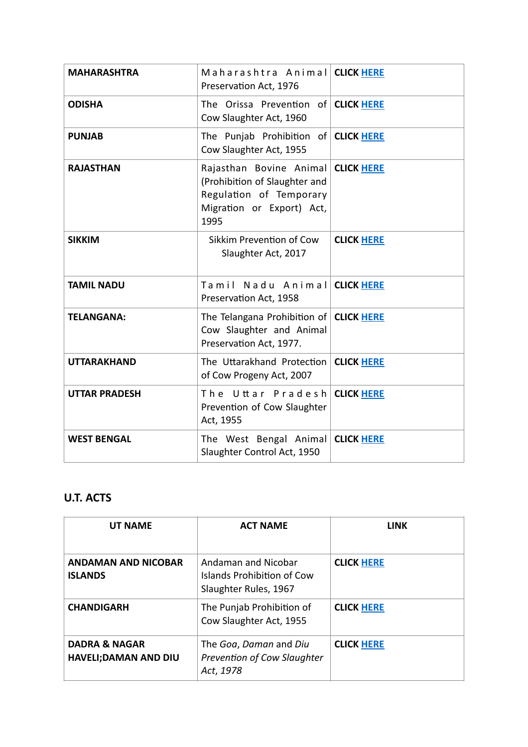| <b>MAHARASHTRA</b>   | Maharashtra Animal CLICK HERE<br>Preservation Act, 1976                                                                             |                   |
|----------------------|-------------------------------------------------------------------------------------------------------------------------------------|-------------------|
| <b>ODISHA</b>        | The Orissa Prevention of CLICK HERE<br>Cow Slaughter Act, 1960                                                                      |                   |
| <b>PUNJAB</b>        | The Punjab Prohibition of <b>CLICK HERE</b><br>Cow Slaughter Act, 1955                                                              |                   |
| <b>RAJASTHAN</b>     | Rajasthan Bovine Animal CLICK HERE<br>(Prohibition of Slaughter and<br>Regulation of Temporary<br>Migration or Export) Act,<br>1995 |                   |
| <b>SIKKIM</b>        | Sikkim Prevention of Cow<br>Slaughter Act, 2017                                                                                     | <b>CLICK HERE</b> |
| <b>TAMIL NADU</b>    | Tamil Nadu Animal CLICK HERE<br>Preservation Act, 1958                                                                              |                   |
| <b>TELANGANA:</b>    | The Telangana Prohibition of <b>CLICK HERE</b><br>Cow Slaughter and Animal<br>Preservation Act, 1977.                               |                   |
| <b>UTTARAKHAND</b>   | The Uttarakhand Protection<br>of Cow Progeny Act, 2007                                                                              | <b>CLICK HERE</b> |
| <b>UTTAR PRADESH</b> | The Uttar Pradesh<br>Prevention of Cow Slaughter<br>Act, 1955                                                                       | <b>CLICK HERE</b> |
| <b>WEST BENGAL</b>   | The West Bengal Animal CLICK HERE<br>Slaughter Control Act, 1950                                                                    |                   |

## **U.T. ACTS**

| <b>UT NAME</b>                                           | <b>ACT NAME</b>                                                            | <b>LINK</b>       |
|----------------------------------------------------------|----------------------------------------------------------------------------|-------------------|
| <b>ANDAMAN AND NICOBAR</b><br><b>ISLANDS</b>             | Andaman and Nicobar<br>Islands Prohibition of Cow<br>Slaughter Rules, 1967 | <b>CLICK HERE</b> |
| <b>CHANDIGARH</b>                                        | The Punjab Prohibition of<br>Cow Slaughter Act, 1955                       | <b>CLICK HERE</b> |
| <b>DADRA &amp; NAGAR</b><br><b>HAVELI; DAMAN AND DIU</b> | The Goa, Daman and Diu<br>Prevention of Cow Slaughter<br>Act, 1978         | <b>CLICK HERE</b> |